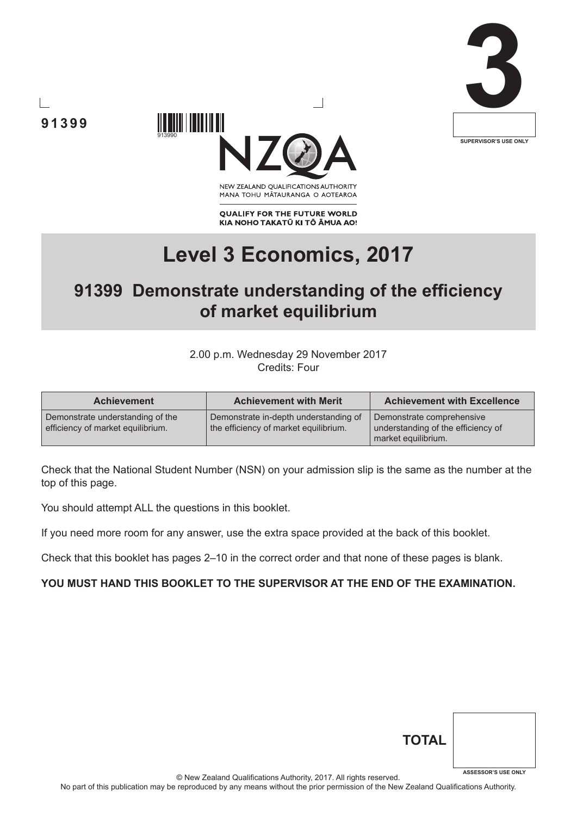





NEW ZEALAND OUALIFICATIONS AUTHORITY MANA TOHU MATAURANGA O AOTEAROA

**QUALIFY FOR THE FUTURE WORLD** KIA NOHO TAKATŪ KI TŌ ĀMUA AO!

# **Level 3 Economics, 2017**

# **91399 Demonstrate understanding of the efficiency of market equilibrium**

2.00 p.m. Wednesday 29 November 2017 Credits: Four

| <b>Achievement</b>                                                    | <b>Achievement with Merit</b>                                                  | <b>Achievement with Excellence</b>                                                     |
|-----------------------------------------------------------------------|--------------------------------------------------------------------------------|----------------------------------------------------------------------------------------|
| Demonstrate understanding of the<br>efficiency of market equilibrium. | Demonstrate in-depth understanding of<br>the efficiency of market equilibrium. | Demonstrate comprehensive<br>understanding of the efficiency of<br>market equilibrium. |

Check that the National Student Number (NSN) on your admission slip is the same as the number at the top of this page.

You should attempt ALL the questions in this booklet.

If you need more room for any answer, use the extra space provided at the back of this booklet.

Check that this booklet has pages 2–10 in the correct order and that none of these pages is blank.

## **YOU MUST HAND THIS BOOKLET TO THE SUPERVISOR AT THE END OF THE EXAMINATION.**

| <b>TOTAL</b> |                            |
|--------------|----------------------------|
|              | <b>ASSESSOR'S USE ONLY</b> |

© New Zealand Qualifications Authority, 2017. All rights reserved.

No part of this publication may be reproduced by any means without the prior permission of the New Zealand Qualifications Authority.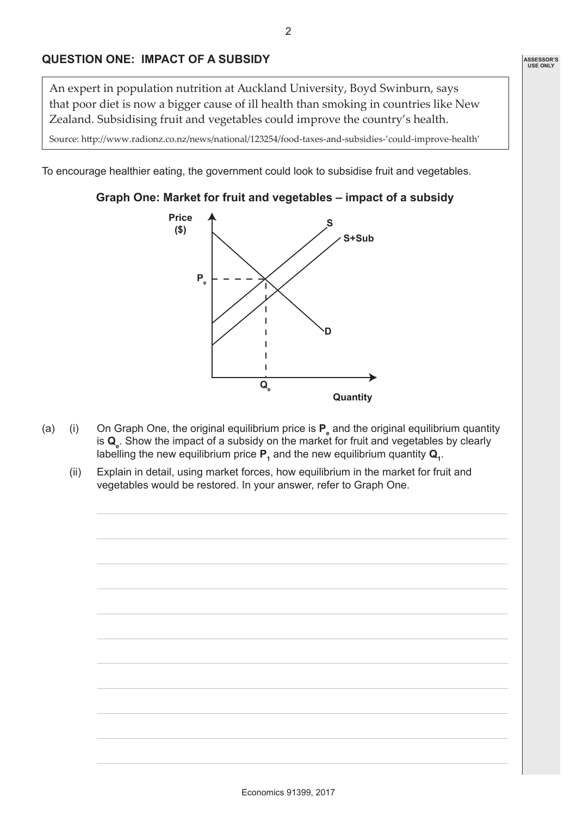# **QUESTION ONE: IMPACT OF A SUBSIDY**

An expert in population nutrition at Auckland University, Boyd Swinburn, says that poor diet is now a bigger cause of ill health than smoking in countries like New Zealand. Subsidising fruit and vegetables could improve the country's health.

Source: http://www.radionz.co.nz/news/national/123254/food-taxes-and-subsidies-'could-improve-health'

To encourage healthier eating, the government could look to subsidise fruit and vegetables.

#### **Graph One: Market for fruit and vegetables – impact of a subsidy**



- (a) (i) On Graph One, the original equilibrium price is **P**<sub>e</sub> and the original equilibrium quantity is **Q**<sub>e</sub>. Show the impact of a subsidy on the market for fruit and vegetables by clearly labelling the new equilibrium price  $P_1$  and the new equilibrium quantity  $Q_1$ .
	- (ii) Explain in detail, using market forces, how equilibrium in the market for fruit and vegetables would be restored. In your answer, refer to Graph One.

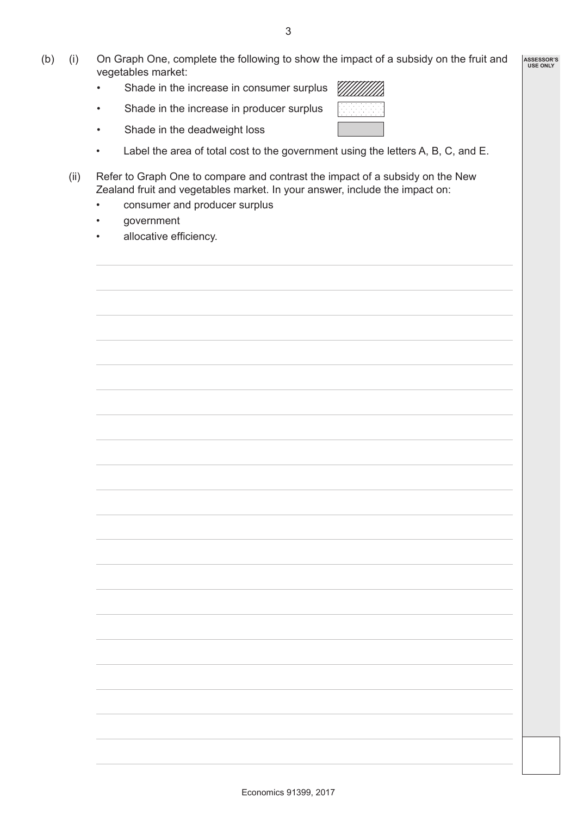- (b) (i) On Graph One, complete the following to show the impact of a subsidy on the fruit and vegetables market: **ASSESSOR'S USE ONLY**
	- MIIIIIIII) • Shade in the increase in consumer surplus
	- Shade in the increase in producer surplus

- Shade in the deadweight loss
- Label the area of total cost to the government using the letters A, B, C, and E.
- (ii) Refer to Graph One to compare and contrast the impact of a subsidy on the New Zealand fruit and vegetables market. In your answer, include the impact on:
	- consumer and producer surplus
	- government
	- allocative efficiency.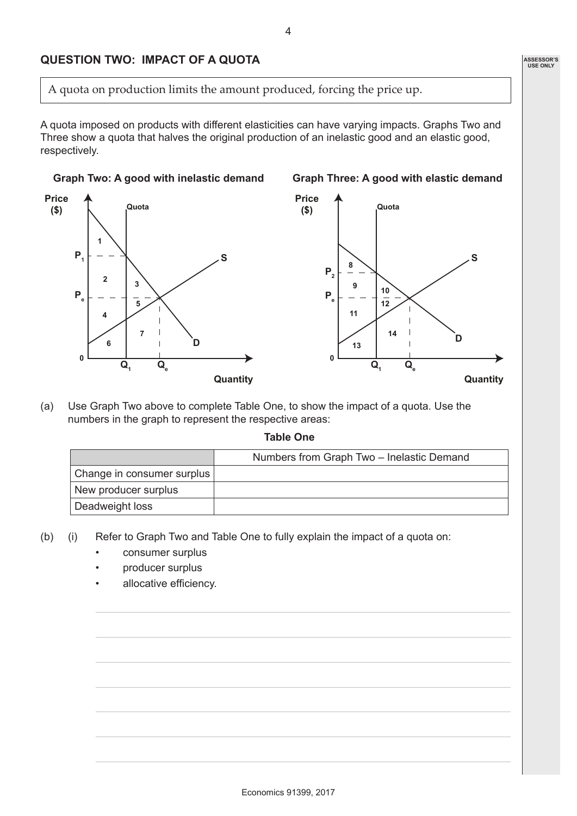## **QUESTION TWO: IMPACT OF A QUOTA**

A quota on production limits the amount produced, forcing the price up.

A quota imposed on products with different elasticities can have varying impacts. Graphs Two and Three show a quota that halves the original production of an inelastic good and an elastic good, respectively.



(a) Use Graph Two above to complete Table One, to show the impact of a quota. Use the numbers in the graph to represent the respective areas:

**Table One**

|                            | Numbers from Graph Two - Inelastic Demand |
|----------------------------|-------------------------------------------|
| Change in consumer surplus |                                           |
| New producer surplus       |                                           |
| Deadweight loss            |                                           |

- (b) (i) Refer to Graph Two and Table One to fully explain the impact of a quota on:
	- consumer surplus
	- producer surplus
	- allocative efficiency.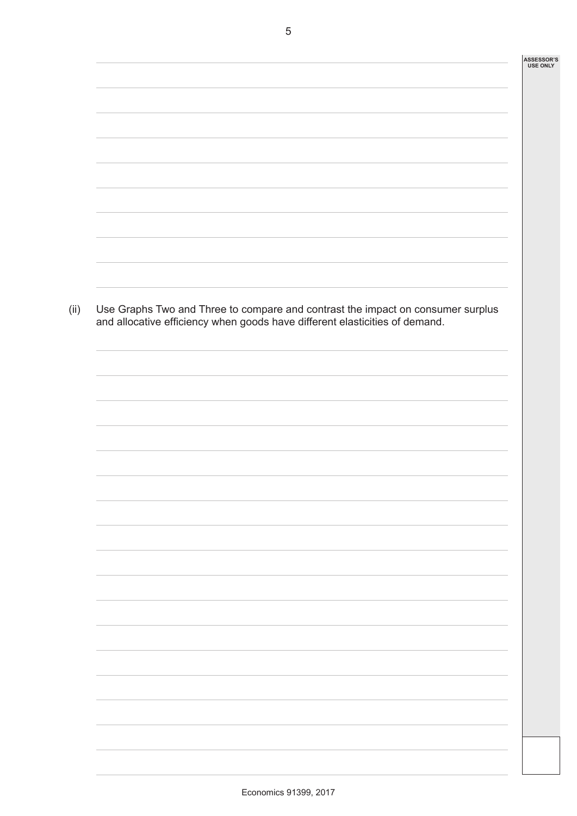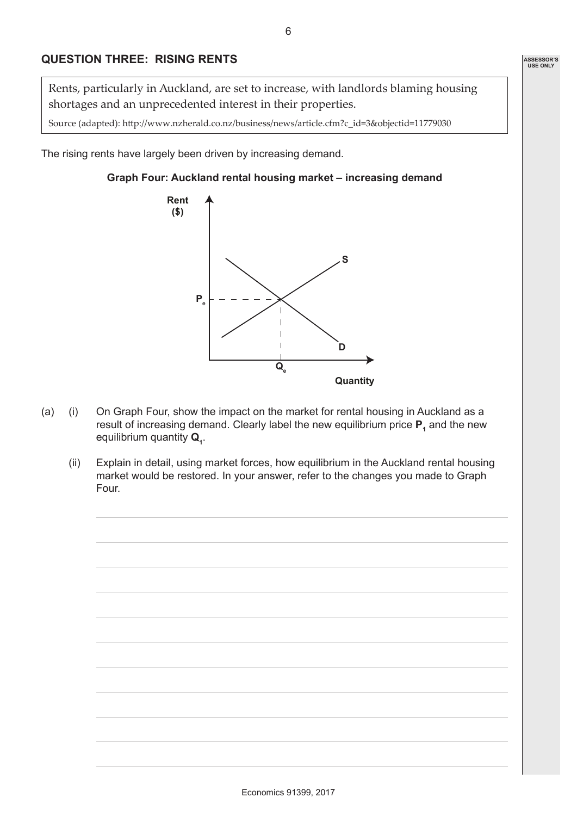Rents, particularly in Auckland, are set to increase, with landlords blaming housing shortages and an unprecedented interest in their properties.

Source (adapted): http://www.nzherald.co.nz/business/news/article.cfm?c\_id=3&objectid=11779030

The rising rents have largely been driven by increasing demand.

#### **Graph Four: Auckland rental housing market – increasing demand**



- (a) (i) On Graph Four, show the impact on the market for rental housing in Auckland as a result of increasing demand. Clearly label the new equilibrium price  $P_1$  and the new equilibrium quantity **Q**<sub>1</sub>.
	- (ii) Explain in detail, using market forces, how equilibrium in the Auckland rental housing market would be restored. In your answer, refer to the changes you made to Graph Four.

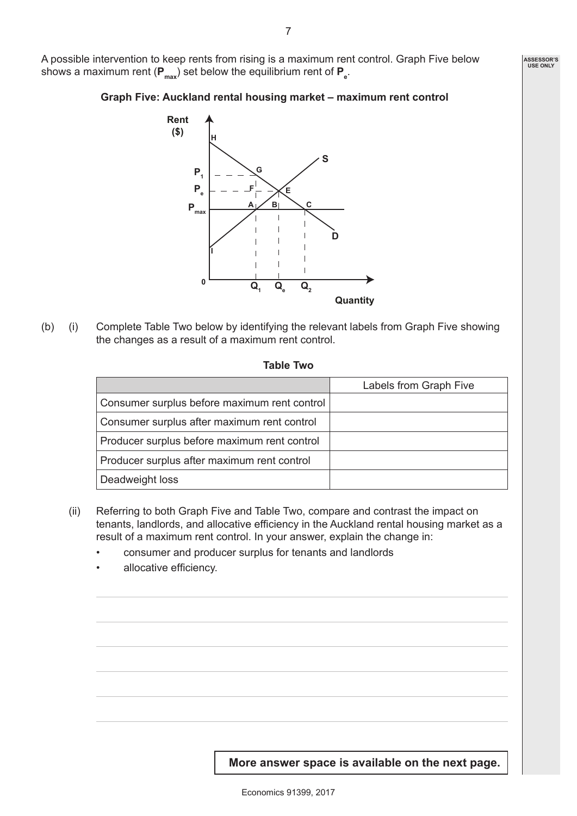A possible intervention to keep rents from rising is a maximum rent control. Graph Five below shows a maximum rent (**P<sub>max</sub>)** set below the equilibrium rent of **P**<sub>e</sub>.

#### **Graph Five: Auckland rental housing market – maximum rent control**



(b) (i) Complete Table Two below by identifying the relevant labels from Graph Five showing the changes as a result of a maximum rent control.

#### **Table Two**

|                                              | Labels from Graph Five |
|----------------------------------------------|------------------------|
| Consumer surplus before maximum rent control |                        |
| Consumer surplus after maximum rent control  |                        |
| Producer surplus before maximum rent control |                        |
| Producer surplus after maximum rent control  |                        |
| Deadweight loss                              |                        |

- (ii) Referring to both Graph Five and Table Two, compare and contrast the impact on tenants, landlords, and allocative efficiency in the Auckland rental housing market as a result of a maximum rent control. In your answer, explain the change in:
	- consumer and producer surplus for tenants and landlords
	- allocative efficiency.

**More answer space is available on the next page.**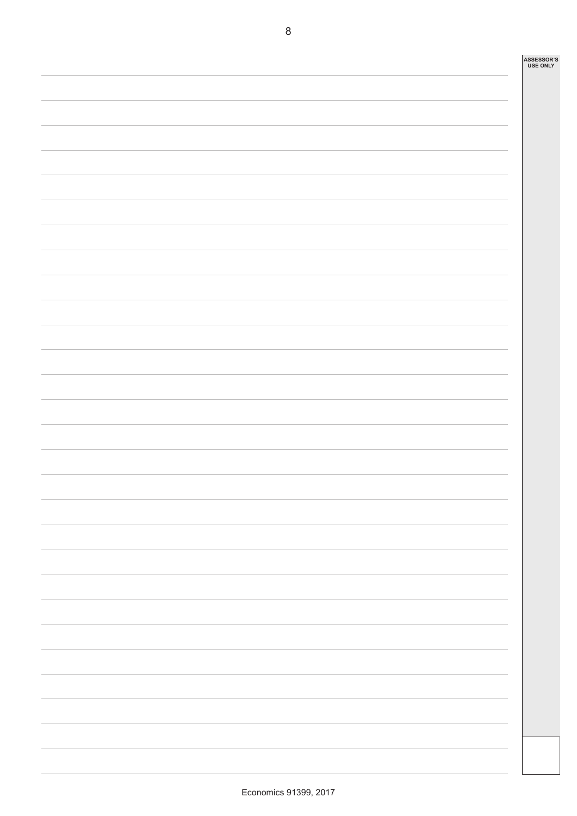| ASSESSOR'S<br>USE ONLY |
|------------------------|
|                        |
|                        |
|                        |
|                        |
|                        |
|                        |
|                        |
|                        |
|                        |
|                        |
|                        |
|                        |
|                        |
|                        |
|                        |
|                        |
|                        |
|                        |
|                        |
|                        |
|                        |
|                        |
|                        |
|                        |
|                        |
|                        |
|                        |
|                        |
|                        |
|                        |
|                        |
|                        |
|                        |
|                        |
|                        |
|                        |
|                        |
|                        |
|                        |
|                        |
|                        |
|                        |
|                        |
|                        |
|                        |
|                        |
|                        |
|                        |
|                        |
|                        |
|                        |
|                        |
|                        |
|                        |
|                        |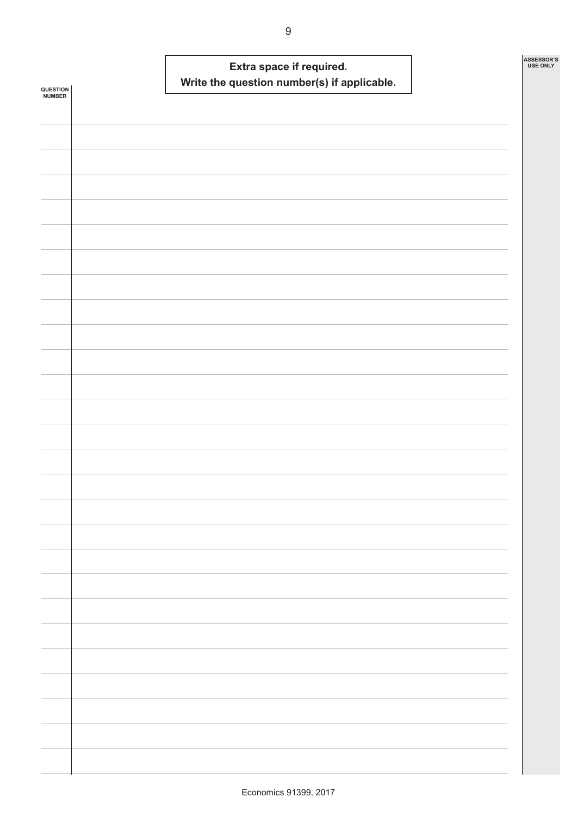|                    |  | Write the question number(s) if applicable. | Extra space if required. |  | ASSESSOR'S<br><b>USE ONLY</b> |
|--------------------|--|---------------------------------------------|--------------------------|--|-------------------------------|
| QUESTION<br>NUMBER |  |                                             |                          |  |                               |
|                    |  |                                             |                          |  |                               |
|                    |  |                                             |                          |  |                               |
|                    |  |                                             |                          |  |                               |
|                    |  |                                             |                          |  |                               |
|                    |  |                                             |                          |  |                               |
|                    |  |                                             |                          |  |                               |
|                    |  |                                             |                          |  |                               |
|                    |  |                                             |                          |  |                               |
|                    |  |                                             |                          |  |                               |
|                    |  |                                             |                          |  |                               |
|                    |  |                                             |                          |  |                               |
|                    |  |                                             |                          |  |                               |
|                    |  |                                             |                          |  |                               |
|                    |  |                                             |                          |  |                               |
|                    |  |                                             |                          |  |                               |
|                    |  |                                             |                          |  |                               |
|                    |  |                                             |                          |  |                               |
|                    |  |                                             |                          |  |                               |
|                    |  |                                             |                          |  |                               |
|                    |  |                                             |                          |  |                               |
|                    |  |                                             |                          |  |                               |
|                    |  |                                             |                          |  |                               |
|                    |  |                                             |                          |  |                               |
|                    |  |                                             |                          |  |                               |
|                    |  |                                             |                          |  |                               |
|                    |  |                                             |                          |  |                               |